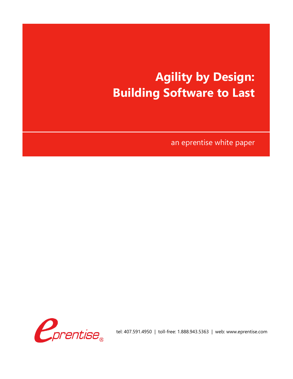# **Agility by Design: Building Software to Last**

an eprentise white paper



tel: 407.591.4950 | toll-free: 1.888.943.5363 | web: www.eprentise.com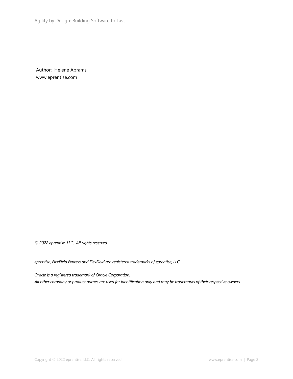Author: Helene Abrams www.eprentise.com

*© 2022 eprentise, LLC. All rights reserved.*

*eprentise, FlexField Express and FlexField are registered trademarks of eprentise, LLC.*

*Oracle is a registered trademark of Oracle Corporation. All other company or product names are used for identification only and may be trademarks of their respective owners.*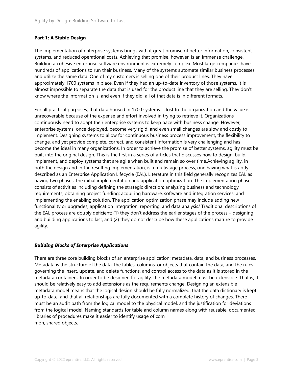## **Part 1: A Stable Design**

The implementation of enterprise systems brings with it great promise of better information, consistent systems, and reduced operational costs. Achieving that promise, however, is an immense challenge. Building a cohesive enterprise software environment is extremely complex. Most large companies have hundreds of applications to run their business. Many of the systems automate similar business processes and utilize the same data. One of my customers is selling one of their product lines. They have approximately 1700 systems in place. Even if they had an up-to-date inventory of those systems, it is almost impossible to separate the data that is used for the product line that they are selling. They don't know where the information is, and even if they did, all of that data is in different formats.

For all practical purposes, that data housed in 1700 systems is lost to the organization and the value is unrecoverable because of the expense and effort involved in trying to retrieve it. Organizations continuously need to adapt their enterprise systems to keep pace with business change. However, enterprise systems, once deployed, become very rigid, and even small changes are slow and costly to implement. Designing systems to allow for continuous business process improvement, the flexibility to change, and yet provide complete, correct, and consistent information is very challenging and has become the ideal in many organizations. In order to achieve the promise of better systems, agility must be built into the original design. This is the first in a series of articles that discusses how to design, build, implement, and deploy systems that are agile when built and remain so over time.Achieving agility, in both the design and in the resulting implementation, is a multistage process, one having what is aptly described as an Enterprise Application Lifecycle (EAL). Literature in this field generally recognizes EAL as having two phases: the initial implementation and application optimization. The implementation phase consists of activities including defining the strategic direction; analyzing business and technology requirements; obtaining project funding; acquiring hardware, software and integration services; and implementing the enabling solution. The application optimization phase may include adding new functionality or upgrades, application integration, reporting, and data analysis.<sup>i</sup> Traditional descriptions of the EAL process are doubly deficient: (1) they don't address the earlier stages of the process – designing and building applications to last, and (2) they do not describe how these applications mature to provide agility.

## *Building Blocks of Enterprise Applications*

There are three core building blocks of an enterprise application: metadata, data, and business processes. Metadata is the structure of the data, the tables, columns, or objects that contain the data, and the rules governing the insert, update, and delete functions, and control access to the data as it is stored in the metadata containers. In order to be designed for agility, the metadata model must be extensible. That is, it should be relatively easy to add extensions as the requirements change. Designing an extensible metadata model means that the logical design should be fully normalized, that the data dictionary is kept up-to-date, and that all relationships are fully documented with a complete history of changes. There must be an audit path from the logical model to the physical model, and the justification for deviations from the logical model. Naming standards for table and column names along with reusable, documented libraries of procedures make it easier to identify usage of com mon, shared objects.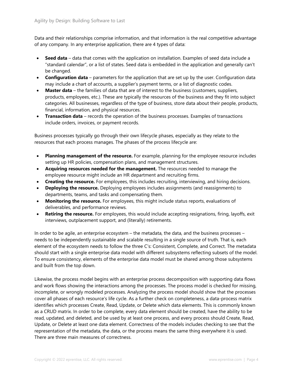Data and their relationships comprise information, and that information is the real competitive advantage of any company. In any enterprise application, there are 4 types of data:

- **Seed data** data that comes with the application on installation. Examples of seed data include a "standard calendar", or a list of states. Seed data is embedded in the application and generally can't be changed.
- **Configuration data** parameters for the application that are set up by the user. Configuration data may include a chart of accounts, a supplier's payment terms, or a list of diagnostic codes.
- **Master data** the families of data that are of interest to the business (customers, suppliers, products, employees, etc.). These are typically the resources of the business and they fit into subject categories. All businesses, regardless of the type of business, store data about their people, products, financial, information, and physical resources.
- **Transaction data** records the operation of the business processes. Examples of transactions include orders, invoices, or payment records.

Business processes typically go through their own lifecycle phases, especially as they relate to the resources that each process manages. The phases of the process lifecycle are:

- **Planning management of the resource.** For example, planning for the employee resource includes setting up HR policies, compensation plans, and management structures.
- **Acquiring resources needed for the management.** The resources needed to manage the employee resource might include an HR department and recruiting firms.
- **Creating the resource.** For employees, this includes recruiting, interviewing, and hiring decisions.
- **Deploying the resource.** Deploying employees includes assignments (and reassignments) to departments, teams, and tasks and compensating them.
- **Monitoring the resource.** For employees, this might include status reports, evaluations of deliverables, and performance reviews.
- **Retiring the resource.** For employees, this would include accepting resignations, firing, layoffs, exit interviews, outplacement support, and (literally) retirements.

In order to be agile, an enterprise ecosystem – the metadata, the data, and the business processes – needs to be independently sustainable and scalable resulting in a single source of truth. That is, each element of the ecosystem needs to follow the three C's: Consistent, Complete, and Correct. The metadata should start with a single enterprise data model with different subsystems reflecting subsets of the model. To ensure consistency, elements of the enterprise data model must be shared among those subsystems and built from the top down.

Likewise, the process model begins with an enterprise process decomposition with supporting data flows and work flows showing the interactions among the processes. The process model is checked for missing, incomplete, or wrongly modeled processes. Analyzing the process model should show that the processes cover all phases of each resource's life cycle. As a further check on completeness, a data-process matrix identifies which processes Create, Read, Update, or Delete which data elements. This is commonly known as a CRUD matrix. In order to be complete, every data element should be created, have the ability to be read, updated, and deleted, and be used by at least one process, and every process should Create, Read, Update, or Delete at least one data element. Correctness of the models includes checking to see that the representation of the metadata, the data, or the process means the same thing everywhere it is used. There are three main measures of correctness.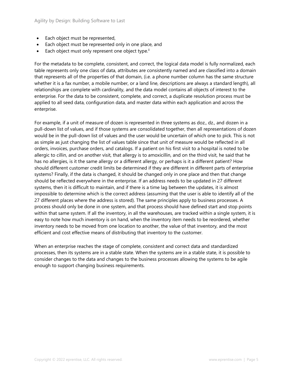- Each object must be represented,
- Each object must be represented only in one place, and
- Each object must only represent one object type. $\mathbb{I}$

For the metadata to be complete, consistent, and correct, the logical data model is fully normalized, each table represents only one class of data, attributes are consistently named and are classified into a domain that represents all of the properties of that domain, (i.e. a phone number column has the same structure whether it is a fax number, a mobile number, or a land line, descriptions are always a standard length), all relationships are complete with cardinality, and the data model contains all objects of interest to the enterprise. For the data to be consistent, complete, and correct, a duplicate resolution process must be applied to all seed data, configuration data, and master data within each application and across the enterprise.

For example, if a unit of measure of dozen is represented in three systems as doz., dz., and dozen in a pull-down list of values, and if those systems are consolidated together, then all representations of dozen would be in the pull-down list of values and the user would be uncertain of which one to pick. This is not as simple as just changing the list of values table since that unit of measure would be reflected in all orders, invoices, purchase orders, and catalogs. If a patient on his first visit to a hospital is noted to be allergic to cillin, and on another visit, that allergy is to amoxicillin, and on the third visit, he said that he has no allergies, is it the same allergy or a different allergy, or perhaps is it a different patient? How should different customer credit limits be determined if they are different in different parts of enterprise systems? Finally, if the data is changed, it should be changed only in one place and then that change should be reflected everywhere in the enterprise. If an address needs to be updated in 27 different systems, then it is difficult to maintain, and if there is a time lag between the updates, it is almost impossible to determine which is the correct address (assuming that the user is able to identify all of the 27 different places where the address is stored). The same principles apply to business processes. A process should only be done in one system, and that process should have defined start and stop points within that same system. If all the inventory, in all the warehouses, are tracked within a single system, it is easy to note how much inventory is on hand, when the inventory item needs to be reordered, whether inventory needs to be moved from one location to another, the value of that inventory, and the most efficient and cost effective means of distributing that inventory to the customer.

When an enterprise reaches the stage of complete, consistent and correct data and standardized processes, then its systems are in a stable state. When the systems are in a stable state, it is possible to consider changes to the data and changes to the business processes allowing the systems to be agile enough to support changing business requirements.